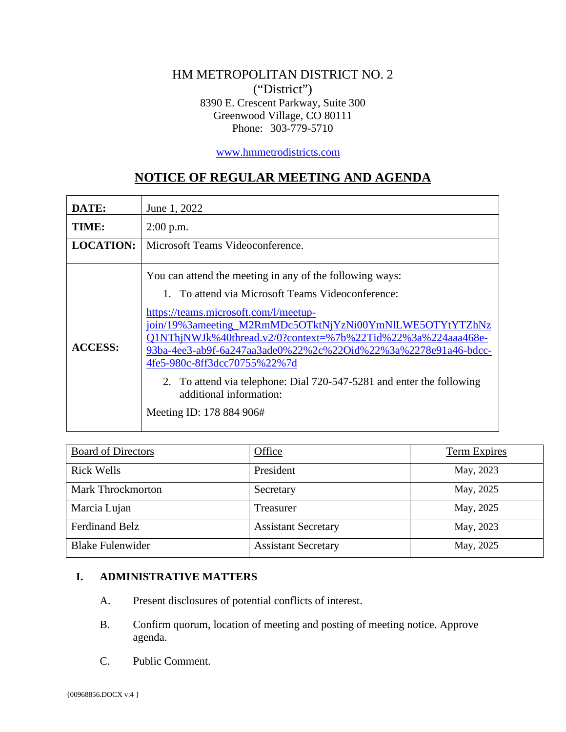## HM METROPOLITAN DISTRICT NO. 2 ("District") 8390 E. Crescent Parkway, Suite 300 Greenwood Village, CO 80111 Phone: 303-779-5710

[www.hmmetrodistricts.com](http://www.hmmetrodistricts.com/)

# **NOTICE OF REGULAR MEETING AND AGENDA**

| DATE:            | June 1, 2022                                                                                                                                                                                                                                                                                                                                                                                                                                                                                                         |
|------------------|----------------------------------------------------------------------------------------------------------------------------------------------------------------------------------------------------------------------------------------------------------------------------------------------------------------------------------------------------------------------------------------------------------------------------------------------------------------------------------------------------------------------|
| TIME:            | $2:00$ p.m.                                                                                                                                                                                                                                                                                                                                                                                                                                                                                                          |
| <b>LOCATION:</b> | Microsoft Teams Videoconference.                                                                                                                                                                                                                                                                                                                                                                                                                                                                                     |
| <b>ACCESS:</b>   | You can attend the meeting in any of the following ways:<br>1. To attend via Microsoft Teams Videoconference:<br>https://teams.microsoft.com/l/meetup-<br>join/19%3ameeting_M2RmMDc5OTktNjYzNi00YmNlLWE5OTYtYTZhNz<br>Q1NThjNWJk%40thread.v2/0?context=%7b%22Tid%22%3a%224aaa468e-<br>93ba-4ee3-ab9f-6a247aa3ade0%22%2c%22Oid%22%3a%2278e91a46-bdcc-<br>4fe5-980c-8ff3dcc70755%22%7d<br>2. To attend via telephone: Dial 720-547-5281 and enter the following<br>additional information:<br>Meeting ID: 178 884 906# |

| <b>Board of Directors</b> | <b>Office</b>              | <b>Term Expires</b> |
|---------------------------|----------------------------|---------------------|
| <b>Rick Wells</b>         | President                  | May, 2023           |
| <b>Mark Throckmorton</b>  | Secretary                  | May, 2025           |
| Marcia Lujan              | Treasurer                  | May, 2025           |
| <b>Ferdinand Belz</b>     | <b>Assistant Secretary</b> | May, 2023           |
| <b>Blake Fulenwider</b>   | <b>Assistant Secretary</b> | May, 2025           |

## **I. ADMINISTRATIVE MATTERS**

- A. Present disclosures of potential conflicts of interest.
- B. Confirm quorum, location of meeting and posting of meeting notice. Approve agenda.
- C. Public Comment.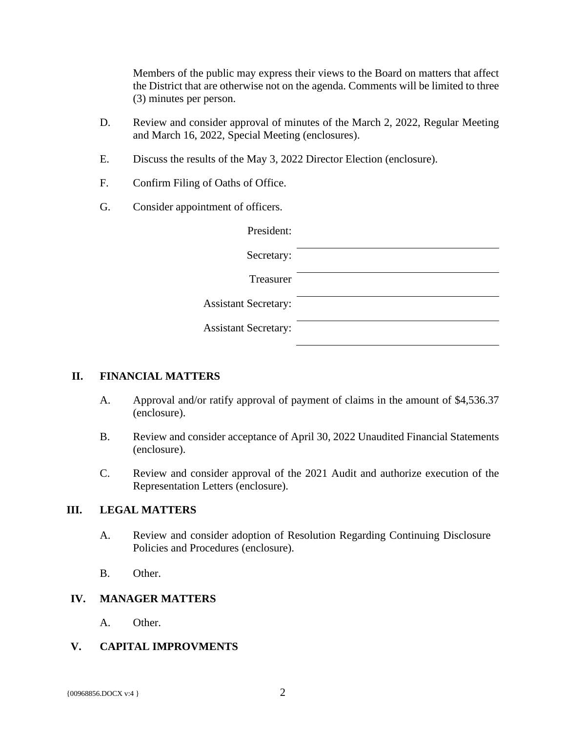Members of the public may express their views to the Board on matters that affect the District that are otherwise not on the agenda. Comments will be limited to three (3) minutes per person.

- D. Review and consider approval of minutes of the March 2, 2022, Regular Meeting and March 16, 2022, Special Meeting (enclosures).
- E. Discuss the results of the May 3, 2022 Director Election (enclosure).
- F. Confirm Filing of Oaths of Office.
- G. Consider appointment of officers.

| President:                  |  |
|-----------------------------|--|
| Secretary:                  |  |
| Treasurer                   |  |
| <b>Assistant Secretary:</b> |  |
| <b>Assistant Secretary:</b> |  |
|                             |  |

#### **II. FINANCIAL MATTERS**

- A. Approval and/or ratify approval of payment of claims in the amount of \$4,536.37 (enclosure).
- B. Review and consider acceptance of April 30, 2022 Unaudited Financial Statements (enclosure).
- C. Review and consider approval of the 2021 Audit and authorize execution of the Representation Letters (enclosure).

#### **III. LEGAL MATTERS**

- A. Review and consider adoption of Resolution Regarding Continuing Disclosure Policies and Procedures (enclosure).
- B. Other.

#### **IV. MANAGER MATTERS**

A. Other.

## **V. CAPITAL IMPROVMENTS**